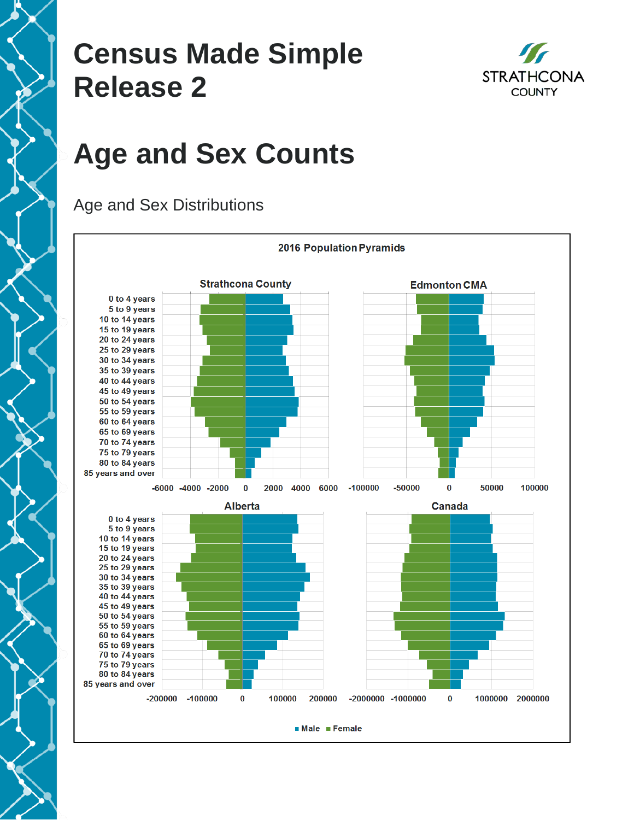### **Census Made Simple Release 2**



# **Age and Sex Counts**



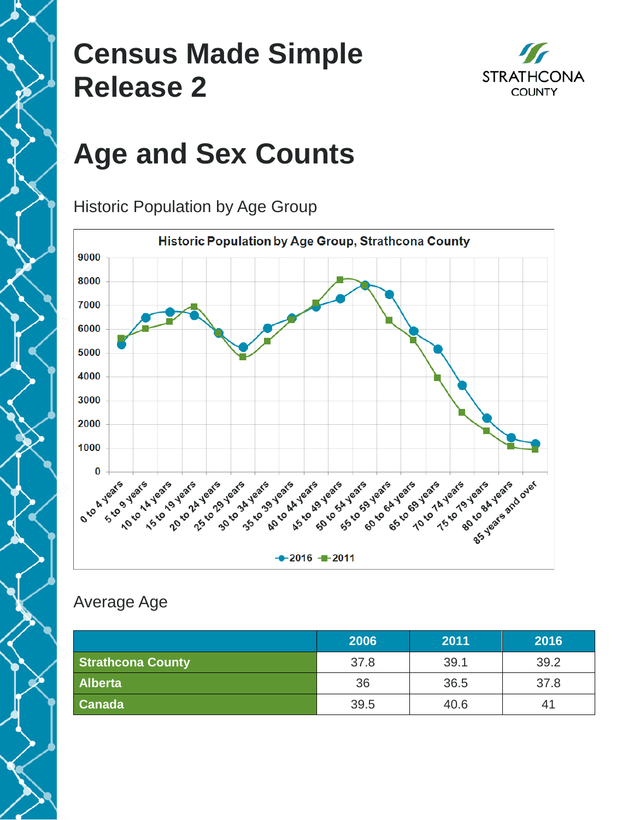### **Census Made Simple Release 2**



# **Age and Sex Counts**

Historic Population by Age Group



#### Average Age

|                          | 2006 | 2011 | 2016 |
|--------------------------|------|------|------|
| <b>Strathcona County</b> | 37.8 | 39.1 | 39.2 |
| <b>Alberta</b>           | 36   | 36.5 | 37.8 |
| <b>Canada</b>            | 39.5 | 40.6 | 41   |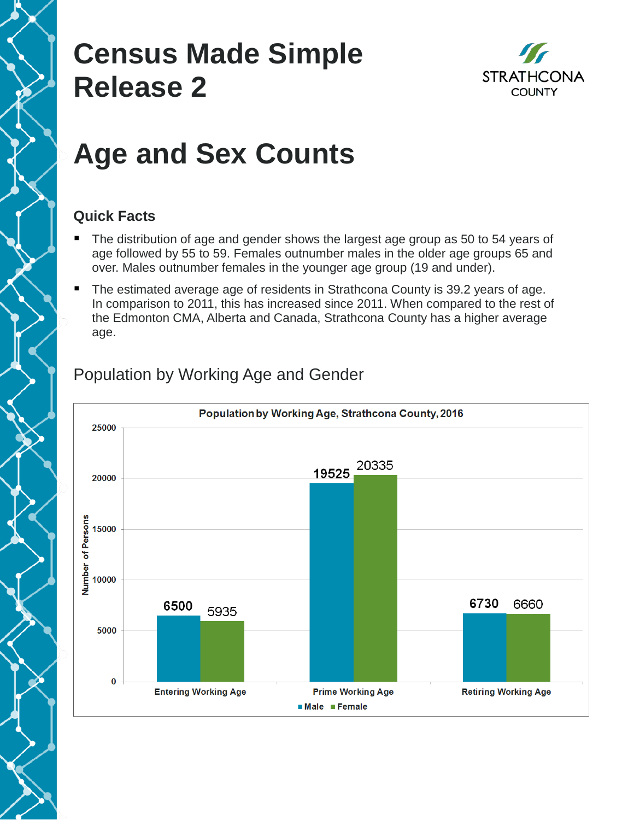### **Census Made Simple Release 2**



## **Age and Sex Counts**

#### **Quick Facts**

- The distribution of age and gender shows the largest age group as 50 to 54 years of age followed by 55 to 59. Females outnumber males in the older age groups 65 and over. Males outnumber females in the younger age group (19 and under).
- The estimated average age of residents in Strathcona County is 39.2 years of age. In comparison to 2011, this has increased since 2011. When compared to the rest of the Edmonton CMA, Alberta and Canada, Strathcona County has a higher average age.



#### Population by Working Age and Gender